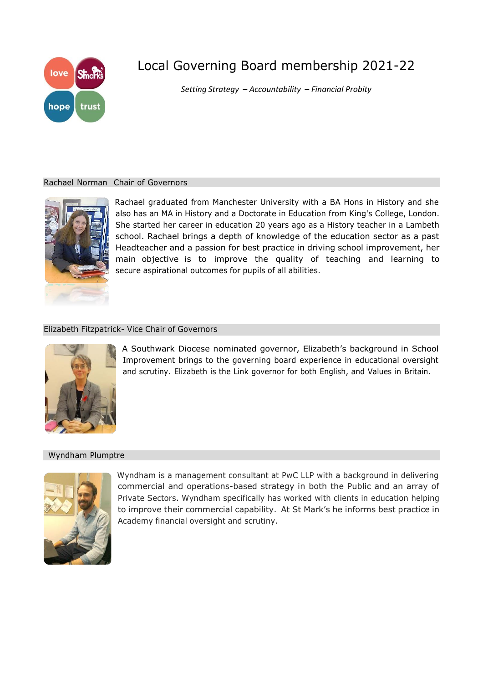

# Local Governing Board membership 2021-22

*Setting Strategy – Accountability – Financial Probity*

# Rachael Norman Chair of Governors



Rachael graduated from Manchester University with a BA Hons in History and she also has an MA in History and a Doctorate in Education from King's College, London. She started her career in education 20 years ago as a History teacher in a Lambeth school. Rachael brings a depth of knowledge of the education sector as a past Headteacher and a passion for best practice in driving school improvement, her main objective is to improve the quality of teaching and learning to secure aspirational outcomes for pupils of all abilities.

# Elizabeth Fitzpatrick- Vice Chair of Governors



A Southwark Diocese nominated governor, Elizabeth's background in School Improvement brings to the governing board experience in educational oversight and scrutiny. Elizabeth is the Link governor for both English, and Values in Britain.

# Wyndham Plumptre



Wyndham is a management consultant at PwC LLP with a background in delivering commercial and operations-based strategy in both the Public and an array of Private Sectors. Wyndham specifically has worked with clients in education helping to improve their commercial capability. At St Mark's he informs best practice in Academy financial oversight and scrutiny.